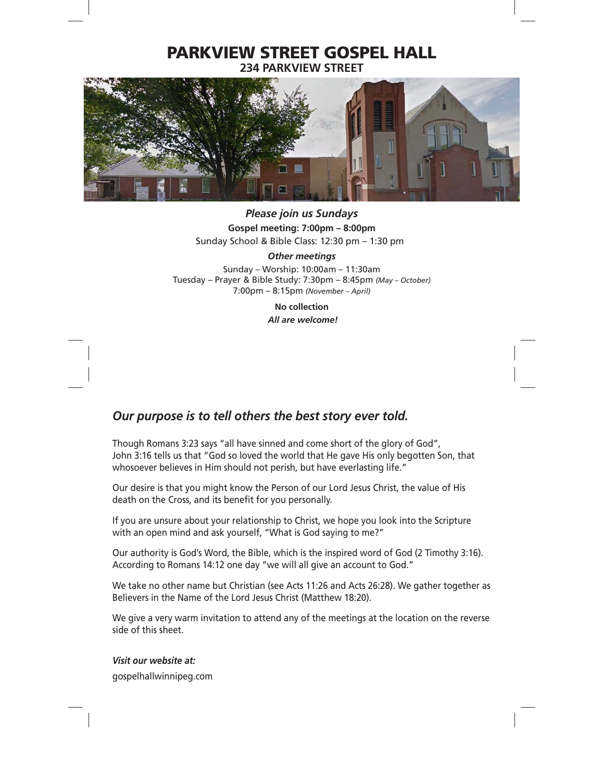## **PARKVIEW STREET GOSPEL HALL 234 PARKVIEW STREET**



*Please join us Sundays* **Gospel meeting: 7:00pm – 8:00pm** Sunday School & Bible Class: 12:30 pm – 1:30 pm

*Other meetings*

Sunday – Worship: 10:00am – 11:30am Tuesday – Prayer & Bible Study: 7:30pm – 8:45pm *(May – October)* 7:00pm – 8:15pm *(November – April)*

> **No collection** *All are welcome!*